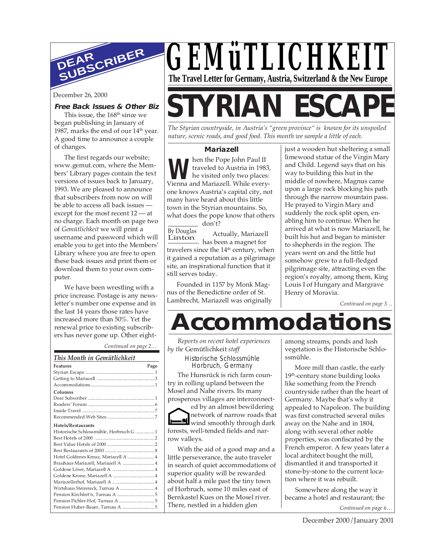

#### **Free Back Issues & Other Biz**

This issue, the 168<sup>th</sup> since we began publishing in January of 1987, marks the end of our  $14<sup>th</sup>$  year. A good time to announce a couple of changes.

The first regards our website; www.gemut.com, where the Members' Library pages contain the text versions of issues back to January, 1993. We are pleased to announce that subscribers from now on will be able to access all back issues except for the most recent 12 — at no charge. Each month on page two of *Gemütlichkeit* we will print a username and password which will enable you to get into the Members' Library where you are free to open these back issues and print them or download them to your own computer.

We have been wrestling with a price increase. Postage is any newsletter's number one expense and in the last 14 years those rates have increased more than 50%. Yet the renewal price to existing subscribers has never gone up. Other eight-

*Continued on page 2…*

| This Month in Gemütlichkeit             |  |
|-----------------------------------------|--|
| <b>Features</b><br>Page                 |  |
|                                         |  |
|                                         |  |
|                                         |  |
| Columns                                 |  |
|                                         |  |
|                                         |  |
|                                         |  |
|                                         |  |
| <b>Hotels/Restaurants</b>               |  |
| Historische Schlossmühle, Horbruch G  1 |  |
|                                         |  |
|                                         |  |
|                                         |  |
| Hotel Goldenes Kreuz, Mariazell A  4    |  |
| Brauhaus Mariazell, Mariazell A  4      |  |
|                                         |  |
|                                         |  |
|                                         |  |
| Wirtshaus Steirereck, Turnau A  4       |  |
|                                         |  |
|                                         |  |
| Pension Huber-Bauer, Turnau A  5        |  |



# December 26, 2000<br>Free Back Issues & Other Biz STYRIAN ESCAP

*The Styrian countryside, in Austria's "green province" is known for its unspoiled nature, scenic roads, and good food. This month we sample a little of each.*

#### **Mariazell**

**W** traveled to Austria in 1983,<br>Vienna and Mariazell. While everyhen the Pope John Paul II traveled to Austria in 1983, he visited only two places: one knows Austria's capital city, not many have heard about this little town in the Styrian mountains. So, what does the pope know that others

By Douglas Linton don't? Actually, Mariazell has been a magnet for travelers since the 14<sup>th</sup> century, when it gained a reputation as a pilgrimage site, an inspirational function that it still serves today.

Founded in 1157 by Monk Magnus of the Benedictine order of St. Lambrecht, Mariazell was originally

just a wooden hut sheltering a small limewood statue of the Virgin Mary and Child. Legend says that on his way to building this hut in the middle of nowhere, Magnus came upon a large rock blocking his path through the narrow mountain pass. He prayed to Virgin Mary and suddenly the rock split open, enabling him to continue. When he arrived at what is now Mariazell, he built his hut and began to minister to shepherds in the region. The years went on and the little hut somehow grew to a full-fledged pilgrimage site, attracting even the region's royalty, among them, King Louis I of Hungary and Margrave Henry of Moravia.

*Continued on page 3…*

## **Accommodations**

*Reports on recent hotel experiences by the* Gemütlichkeit *staff*

Historische Schlossmühle Horbruch, Germany

The Hunsrück is rich farm country in rolling upland between the Mosel and Nahe rivers. Its many prosperous villages are interconnect-

ed by an almost bewildering network of narrow roads that wind smoothly through dark forests, well-tended fields and narrow valleys.

With the aid of a good map and a little perseverance, the auto traveler in search of quiet accommodations of superior quality will be rewarded about half a mile past the tiny town of Horbruch, some 10 miles east of Bernkastel Kues on the Mosel river. There, nestled in a hidden glen

among streams, ponds and lush vegetation is the Historische Schlossmühle.

More mill than castle, the early 19<sup>th</sup>-century stone building looks like something from the French countryside rather than the heart of Germany. Maybe that's why it appealed to Napoleon. The building was first constructed several miles away on the Nahe and in 1804, along with several other noble properties, was confiscated by the French emperor. A few years later a local architect bought the mill, dismantled it and transported it stone-by-stone to the current location where it was rebuilt.

Somewhere along the way it became a hotel and restaurant; the

*Continued on page 6…*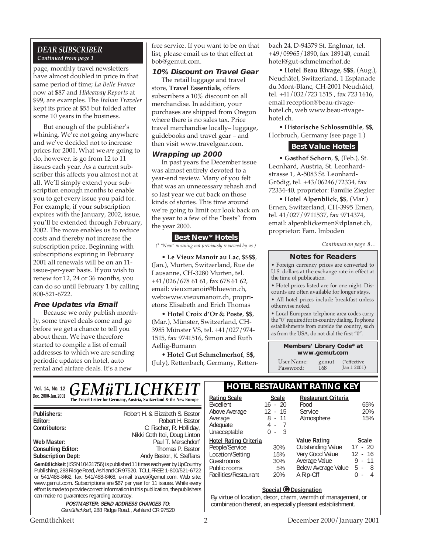#### *DEAR SUBSCRIBER Continued from page 1*

page, monthly travel newsletters have almost doubled in price in that same period of time; *La Belle France* now at \$87 and *Hideaway Reports* at \$99, are examples. The *Italian Traveler* kept its price at \$55 but folded after some 10 years in the business.

But enough of the publisher's whining. We're not going anywhere and we've decided not to increase prices for 2001. What we *are* going to do, however, is go from 12 to 11 issues each year. As a current subscriber this affects you almost not at all. We'll simply extend your subscription enough months to enable you to get every issue you paid for. For example, if your subscription expires with the January, 2002, issue, you'll be extended through February, 2002. The move enables us to reduce costs and thereby not increase the subscription price. Beginning with subscriptions expiring in February 2001 all renewals will be on an 11 issue-per-year basis. If you wish to renew for 12, 24 or 36 months, you can do so until February 1 by calling 800-521-6722.

#### **Free Updates via Email**

Because we only publish monthly, some travel deals come and go before we get a chance to tell you about them. We have therefore started to compile a list of email addresses to which we are sending periodic updates on hotel, auto rental and airfare deals. It's a new

free service. If you want to be on that list, please email us to that effect at bob@gemut.com.

#### **10% Discount on Travel Gear**

The retail luggage and travel store, **Travel Essentials**, offers subscribers a 10% discount on all merchandise. In addition, your purchases are shipped from Oregon where there is no sales tax. Price travel merchandise locally– luggage, guidebooks and travel gear – and then visit www.travelgear.com.

#### **Wrapping up 2000**

In past years the December issue was almost entirely devoted to a year-end review. Many of you felt that was an unnecessary rehash and so last year we cut back on those kinds of stories. This time around we're going to limit our look back on the year to a few of the "bests" from the year 2000.

#### **Best New\* Hotels**

*(\* "New" meaning not previously reviewed by us )*

• **Le Vieux Manoir au Lac**, **\$\$\$\$**, (Jan.), Murten, Switzerland, Rue de Lausanne, CH-3280 Murten, tel. +41/026/678 61 61, fax 678 61 62, email: vieuxmanoir@bluewin.ch, web:www.vieuxmanoir.ch, proprietors: Elisabeth and Erich Thomas

• **Hotel Croix d'Or & Poste**, **\$\$**, (Mar.), Münster, Switzerland, CH-3985 Münster VS, tel. +41/027/974- 1515, fax 9741516, Simon and Ruth Aellig-Bumann

• **Hotel Gut Schmelmerhof**, **\$\$,** (July), Rettenbach, Germany, Rettenbach 24, D-94379 St. Englmar, tel. +49/09965/1890, fax 189140, email hotel@gut-schmelmerhof.de

• **Hotel Beau Rivage**, **\$\$\$**, (Aug.), Neuchâtel, Switzerland, 1 Esplanade du Mont-Blanc, CH-2001 Neuchâtel, tel. +41/032/723 1515 , fax 723 1616, email reception@beau-rivagehotel.ch, web www.beau-rivagehotel.ch.

• **Historische Schlossmühle**, **\$\$**, Horbruch, Germany (see page 1.)

#### **Best Value Hotels**

• **Gasthof Schorn**, **\$**, (Feb.), St. Leonhard, Austria, St. Leonhardstrasse 1, A-5083 St. Leonhard-Grödig, tel. +43/06246/72334, fax 72334-40, proprietor: Familie Ziegler

• **Hotel Alpenblick**, **\$\$**, (Mar.) Ernen, Switzerland, CH-3995 Ernen, tel. 41/027/9711537, fax 9714374, email: alpenblickernen@dplanet.ch, proprietor: Fam. Imboden

*Continued on page 8…*

#### **Notes for Readers**

• Foreign currency prices are converted to U.S. dollars at the exchange rate in effect at the time of publication.

• Hotel prices listed are for one night. Discounts are often available for longer stays.

• All hotel prices include breakfast unless otherwise noted.

• Local European telephone area codes carry the "0" required for in-country dialing. To phone establishments from outside the country, such as from the USA, do not dial the first "0".

> **Members' Library Code\* at www.gemut.com**

User Name: gemut<br>Password: 168 Password<sup>.</sup> (\*effective Jan.1 2001)

|                     | Vol. 14, No. 12 $GEM\ddot{u}TLICHKEIT$                               | <b>HOTEL RESTAURANT RATING KEY</b> |       |                     |
|---------------------|----------------------------------------------------------------------|------------------------------------|-------|---------------------|
| Dec. 2000-Jan. 2001 | The Travel Letter for Germany, Austria, Switzerland & the New Europe | Rating Scale                       | Scale | Restaurant Criteria |
|                     |                                                                      |                                    |       |                     |

| Publishers:<br>Editor:                                                                                                                                                                                                                                                                                                                                                                            | Robert H. & Elizabeth S. Bestor<br>Robert H. Bestor                | Ab<br>A٧             |  |  |  |
|---------------------------------------------------------------------------------------------------------------------------------------------------------------------------------------------------------------------------------------------------------------------------------------------------------------------------------------------------------------------------------------------------|--------------------------------------------------------------------|----------------------|--|--|--|
| Contributors:                                                                                                                                                                                                                                                                                                                                                                                     | C. Fischer, R. Holliday,<br>Nikki Goth Itoi, Doug Linton           | Ad<br>Un             |  |  |  |
| Web Master:<br><b>Consulting Editor:</b><br><b>Subscription Dept:</b>                                                                                                                                                                                                                                                                                                                             | Paul T. Merschdorf<br>Thomas P. Bestor<br>Andy Bestor, K. Steffans | Ho<br>Pe<br>Lo<br>Gu |  |  |  |
| Gemütlichkeit (ISSN 10431756) is published 11 times each year by UpCountry<br>Publishing, 288 Ridge Road, Ashland OR 97520. TOLL FREE: 1-800/521-6722<br>or 541/488-8462, fax: 541/488-8468, e-mail travet@gemut.com. Web site:<br>www.gemut.com. Subscriptions are \$67 per year for 11 issues. While every<br>effort is made to provide correct information in this publication, the publishers |                                                                    |                      |  |  |  |
| can make no quarantees regarding accuracy.                                                                                                                                                                                                                                                                                                                                                        |                                                                    | B)                   |  |  |  |
| <b>POSTMASTER: SEND ADDRESS CHANGES TO:</b><br>Gemütlichkeit, 288 Ridge Road., Ashland OR 97520                                                                                                                                                                                                                                                                                                   |                                                                    |                      |  |  |  |

| <b>Rating Scale</b><br>Excellent<br>Above Average<br>Average<br>Adequate<br>Unacceptable                                  | <b>Scale</b><br>$16 - 20$<br>$12 - 15$<br>8 - 11<br>4 - 7<br>$0 - 3$ | Restaurant Criteria<br>Food<br>Service<br>Atmosphere                                                                    | 65%<br>20%<br>15%                                                          |
|---------------------------------------------------------------------------------------------------------------------------|----------------------------------------------------------------------|-------------------------------------------------------------------------------------------------------------------------|----------------------------------------------------------------------------|
| <b>Hotel Rating Criteria</b><br>People/Service<br>Location/Setting<br>Guestrooms<br>Public rooms<br>Facilities/Restaurant | 30%<br>15%<br>30%<br>5%<br>20%                                       | <b>Value Rating</b><br><b>Outstanding Value</b><br>Very Good Value<br>Average Value<br>Below Average Value<br>A Rip-Off | <b>Scale</b><br>$17 - 20$<br>$12 - 16$<br>$9 - 11$<br>5 -<br>- 8<br>U<br>4 |

#### **Special © Designation**

y virtue of location, decor, charm, warmth of management, or mbination thereof, an especially pleasant establishment.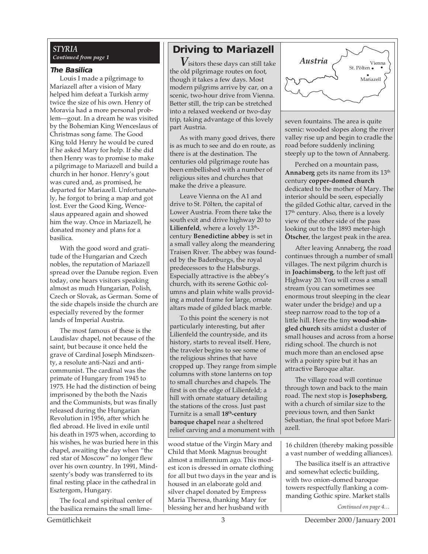#### *STYRIA Continued from page 1*

#### **The Basilica**

Louis I made a pilgrimage to Mariazell after a vision of Mary helped him defeat a Turkish army twice the size of his own. Henry of Moravia had a more personal problem—gout. In a dream he was visited by the Bohemian King Wenceslaus of Christmas song fame. The Good King told Henry he would be cured if he asked Mary for help. If she did then Henry was to promise to make a pilgrimage to Mariazell and build a church in her honor. Henry's gout was cured and, as promised, he departed for Mariazell. Unfortunately, he forgot to bring a map and got lost. Ever the Good King, Wenceslaus appeared again and showed him the way. Once in Mariazell, he donated money and plans for a basilica.

With the good word and gratitude of the Hungarian and Czech nobles, the reputation of Mariazell spread over the Danube region. Even today, one hears visitors speaking almost as much Hungarian, Polish, Czech or Slovak, as German. Some of the side chapels inside the church are especially revered by the former lands of Imperial Austria.

The most famous of these is the Laudislav chapel, not because of the saint, but because it once held the grave of Cardinal Joseph Mindszenty, a resolute anti-Nazi and anticommunist. The cardinal was the primate of Hungary from 1945 to 1975. He had the distinction of being imprisoned by the both the Nazis and the Communists, but was finally released during the Hungarian Revolution in 1956, after which he fled abroad. He lived in exile until his death in 1975 when, according to his wishes, he was buried here in this chapel, awaiting the day when "the red star of Moscow" no longer flew over his own country. In 1991, Mindszenty's body was transferred to its final resting place in the cathedral in Esztergom, Hungary.

The focal and spiritual center of the basilica remains the small lime-

### **Driving to Mariazell**

*V*isitors these days can still take the old pilgrimage routes on foot, though it takes a few days. Most modern pilgrims arrive by car, on a scenic, two-hour drive from Vienna. Better still, the trip can be stretched into a relaxed weekend or two-day trip, taking advantage of this lovely part Austria.

As with many good drives, there is as much to see and do en route, as there is at the destination. The centuries old pilgrimage route has been embellished with a number of religious sites and churches that make the drive a pleasure.

Leave Vienna on the A1 and drive to St. Pölten, the capital of Lower Austria. From there take the south exit and drive highway 20 to **Lilienfeld**, where a lovely  $13<sup>th</sup>$ century **Benedictine abbey** is set in a small valley along the meandering Traisen River. The abbey was founded by the Badenburgs, the royal predecessors to the Habsburgs. Especially attractive is the abbey's church, with its serene Gothic columns and plain white walls providing a muted frame for large, ornate altars made of gilded black marble.

To this point the scenery is not particularly interesting, but after Lilienfeld the countryside, and its history, starts to reveal itself. Here, the traveler begins to see some of the religious shrines that have cropped up. They range from simple columns with stone lanterns on top to small churches and chapels. The first is on the edge of Lilienfeld; a hill with ornate statuary detailing the stations of the cross. Just past Turnitz is a small **18th-century baroque chapel** near a sheltered relief carving and a monument with

wood statue of the Virgin Mary and Child that Monk Magnus brought almost a millennium ago. This modest icon is dressed in ornate clothing for all but two days in the year and is housed in an elaborate gold and silver chapel donated by Empress Maria Theresa, thanking Mary for blessing her and her husband with



seven fountains. The area is quite scenic: wooded slopes along the river valley rise up and begin to cradle the road before suddenly inclining steeply up to the town of Annaberg.

Perched on a mountain pass, Annaberg gets its name from its 13<sup>th</sup> century **copper-domed church** dedicated to the mother of Mary. The interior should be seen, especially the gilded Gothic altar, carved in the  $17<sup>th</sup>$  century. Also, there is a lovely view of the other side of the pass looking out to the 1893 meter-high **Ötscher**, the largest peak in the area.

After leaving Annaberg, the road continues through a number of small villages. The next pilgrim church is in **Joachimsberg**, to the left just off Highway 20. You will cross a small stream (you can sometimes see enormous trout sleeping in the clear water under the bridge) and up a steep narrow road to the top of a little hill. Here the tiny **wood-shingled church** sits amidst a cluster of small houses and across from a horse riding school. The church is not much more than an enclosed apse with a pointy spire but it has an attractive Baroque altar.

The village road will continue through town and back to the main road. The next stop is **Josephsberg**, with a church of similar size to the previous town, and then Sankt Sebastian, the final spot before Mariazell.

16 children (thereby making possible a vast number of wedding alliances).

The basilica itself is an attractive and somewhat eclectic building, with two onion-domed baroque towers respectfully flanking a commanding Gothic spire. Market stalls

*Continued on page 4…*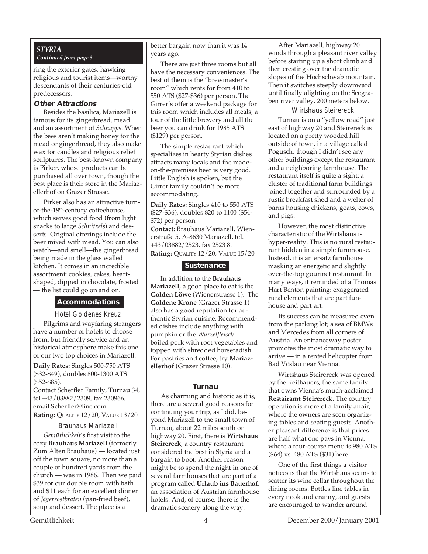#### *STYRIA Continued from page 3*

ring the exterior gates, hawking religious and tourist items—worthy descendants of their centuries-old predecessors.

#### **Other Attractions**

Besides the basilica, Mariazell is famous for its gingerbread, mead and an assortment of *Schnapps*. When the bees aren't making honey for the mead or gingerbread, they also make wax for candles and religious relief sculptures. The best-known company is Pirker, whose products can be purchased all over town, though the best place is their store in the Mariazellerhof on Grazer Strasse.

Pirker also has an attractive turnof-the-19th-century coffeehouse, which serves good food (from light snacks to large *Schnitzels*) and desserts. Original offerings include the beer mixed with mead. You can also watch—and smell—the gingerbread being made in the glass walled kitchen. It comes in an incredible assortment: cookies, cakes, heartshaped, dipped in chocolate, frosted — the list could go on and on.

#### **Accommodations**

Hotel Goldenes Kreuz Pilgrims and wayfaring strangers have a number of hotels to choose from, but friendly service and an historical atmosphere make this one of our two top choices in Mariazell.

**Daily Rates:** Singles 500-750 ATS (\$32-\$49), doubles 800-1300 ATS (\$52-\$85).

Contact Scherfler Family, Turnau 34, tel +43/03882/2309, fax 230966, email Scherfler@line.com **Rating:** QUALITY 12/20, VALUE 13/20

#### Brauhaus Mariazell

*Gemütlichkeit*'*s* first visit to the cozy **Brauhaus Mariazell** (formerly Zum Alten Brauhaus) — located just off the town square, no more than a couple of hundred yards from the church — was in 1986. Then we paid \$39 for our double room with bath and \$11 each for an excellent dinner of *Jägerrostbraten* (pan-fried beef), soup and dessert. The place is a

better bargain now than it was 14 years ago.

There are just three rooms but all have the necessary conveniences. The best of them is the "brewmaster's room" which rents for from 410 to 550 ATS (\$27-\$36) per person. The Girrer's offer a weekend package for this room which includes all meals, a tour of the little brewery and all the beer you can drink for 1985 ATS (\$129) per person.

The simple restaurant which specializes in hearty Styrian dishes attracts many locals and the madeon-the-premises beer is very good. Little English is spoken, but the Girrer family couldn't be more accommodating.

**Daily Rates:** Singles 410 to 550 ATS (\$27-\$36), doubles 820 to 1100 (\$54- \$72) per person **Contact:** Brauhaus Mariazell, Wienerstraße 5, A-8630 Mariazell, tel. +43/03882/2523, fax 2523 8.

**Rating:** QUALITY 12/20, VALUE 15/20

#### **Sustenance**

In addition to the **Brauhaus Mariazell**, a good place to eat is the **Golden Löwe** (Wienerstrasse 1). The **Goldene Krone** (Grazer Strasse 1) also has a good reputation for authentic Styrian cuisine. Recommended dishes include anything with pumpkin or the *Wurzelfleisch*  boiled pork with root vegetables and topped with shredded horseradish. For pastries and coffee, try **Mariazellerhof** (Grazer Strasse 10).

#### **Turnau**

As charming and historic as it is, there are a several good reasons for continuing your trip, as I did, beyond Mariazell to the small town of Turnau, about 22 miles south on highway 20. First, there is **Wirtshaus Steirereck***,* a country restaurant considered the best in Styria and a bargain to boot. Another reason might be to spend the night in one of several farmhouses that are part of a program called **Urlaub ins Bauerhof**, an association of Austrian farmhouse hotels. And, of course, there is the dramatic scenery along the way.

After Mariazell, highway 20 winds through a pleasant river valley before starting up a short climb and then cresting over the dramatic slopes of the Hochschwab mountain. Then it switches steeply downward until finally alighting on the Seegraben river valley, 200 meters below.

Wirtshaus Steirereck

Turnau is on a "yellow road" just east of highway 20 and Steirereck is located on a pretty wooded hill outside of town, in a village called Pogusch, though I didn't see any other buildings except the restaurant and a neighboring farmhouse. The restaurant itself is quite a sight: a cluster of traditional farm buildings joined together and surrounded by a rustic breakfast shed and a welter of barns housing chickens, goats, cows, and pigs.

However, the most distinctive characteristic of the Wirtshaus is hyper-reality. This is no rural restaurant hidden in a simple farmhouse. Instead, it is an ersatz farmhouse masking an energetic and slightly over-the-top gourmet restaurant. In many ways, it reminded of a Thomas Hart Benton painting: exaggerated rural elements that are part funhouse and part art.

Its success can be measured even from the parking lot; a sea of BMWs and Mercedes from all corners of Austria. An entranceway poster promotes the most dramatic way to arrive — in a rented helicopter from Bad Vöslau near Vienna.

Wirtshaus Steirereck was opened by the Reitbauers, the same family that owns Vienna's much-acclaimed **Restairamt Steirereck**. The country operation is more of a family affair, where the owners are seen organizing tables and seating guests. Another pleasant difference is that prices are half what one pays in Vienna, where a four-course menu is 980 ATS (\$64) vs. 480 ATS (\$31) here.

One of the first things a visitor notices is that the Wirtshaus seems to scatter its wine cellar throughout the dining rooms. Bottles line tables in every nook and cranny, and guests are encouraged to wander around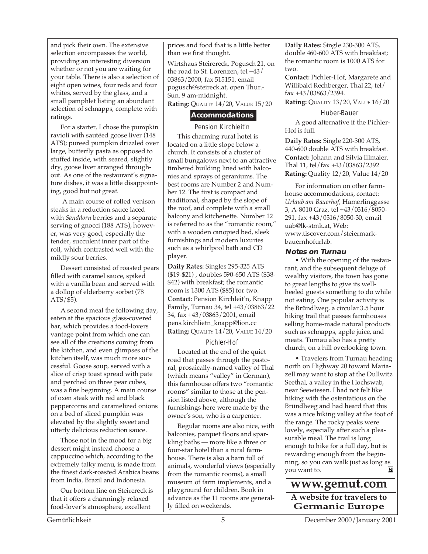and pick their own. The extensive selection encompasses the world, providing an interesting diversion whether or not you are waiting for your table. There is also a selection of eight open wines, four reds and four whites, served by the glass, and a small pamphlet listing an abundant selection of schnapps, complete with ratings.

For a starter, I chose the pumpkin ravioli with sautéed goose liver (148 ATS); pureed pumpkin drizzled over large, butterfly pasta as opposed to stuffed inside, with seared, slightly dry, goose liver arranged throughout. As one of the restaurant's signature dishes, it was a little disappointing, good but not great.

 A main course of rolled venison steaks in a reduction sauce laced with *Sanddorn* berries and a separate serving of gnocci (188 ATS), however, was very good, especially the tender, succulent inner part of the roll, which contrasted well with the mildly sour berries.

Dessert consisted of roasted pears filled with caramel sauce, spiked with a vanilla bean and served with a dollop of elderberry sorbet (78 ATS/\$5).

A second meal the following day, eaten at the spacious glass-covered bar, which provides a food-lovers vantage point from which one can see all of the creations coming from the kitchen, and even glimpses of the kitchen itself, was much more successful. Goose soup, served with a slice of crisp toast spread with pate and perched on three pear cubes, was a fine beginning. A main course of oxen steak with red and black peppercorns and caramelized onions on a bed of sliced pumpkin was elevated by the slightly sweet and utterly delicious reduction sauce.

Those not in the mood for a big dessert might instead choose a cappuccino which, according to the extremely talky menu, is made from the finest dark-roasted Arabica beans from India, Brazil and Indonesia.

Our bottom line on Steirereck is that it offers a charmingly relaxed food-lover's atmosphere, excellent

prices and food that is a little better than we first thought.

Wirtshaus Steirereck, Pogusch 21, on the road to St. Lorenzen, tel +43/ 03863/2000, fax 515151, email pogusch@steireck.at, open Thur.- Sun. 9 am-midnight.

**Rating:** QUALITY 14/20, VALUE 15/20

#### **Accommodations**

Pension Kirchleit'n This charming rural hotel is located on a little slope below a church. It consists of a cluster of small bungalows next to an attractive timbered building lined with balconies and sprays of geraniums. The best rooms are Number 2 and Number 12. The first is compact and traditional, shaped by the slope of the roof, and complete with a small balcony and kitchenette. Number 12 is referred to as the "romantic room," with a wooden canopied bed, sleek furnishings and modern luxuries such as a whirlpool bath and CD player.

**Daily Rates:** Singles 295-325 ATS (\$19-\$21) , doubles 590-650 ATS (\$38- \$42) with breakfast; the romantic room is 1300 ATS (\$85) for two. **Contact:** Pension Kirchleit'n, Knapp Family, Turnau 34, tel +43/03863/22 34, fax +43/03863/2001, email pens.kirchlietn\_knapp@lion.cc **Rating:** QUALITY 14/20, VALUE 14/20

#### Pichler-Hof

Located at the end of the quiet road that passes through the pastoral, prosaically-named valley of Thal (which means "valley" in German), this farmhouse offers two "romantic rooms" similar to those at the pension listed above, although the furnishings here were made by the owner's son, who is a carpenter.

Regular rooms are also nice, with balconies, parquet floors and sparkling baths — more like a three or four-star hotel than a rural farmhouse. There is also a barn full of animals, wonderful views (especially from the romantic rooms), a small museum of farm implements, and a playground for children. Book in advance as the 11 rooms are generally filled on weekends.

**Daily Rates:** Single 230-300 ATS, double 460-600 ATS with breakfast; the romantic room is 1000 ATS for two.

**Contact:** Pichler-Hof, Margarete and Willibald Rechberger, Thal 22, tel/ fax +43/03863/2394.

**Rating:** QUALITY 13/20, VALUE 16/20

#### Huber-Bauer

A good alternative if the Pichler-Hof is full.

**Daily Rates:** Single 220-300 ATS, 440-600 double ATS with breakfast. **Contact:** Johann and Silvia Illmaier, Thal 11, tel/fax +43/03863/2392 **Rating:** Quality 12/20, Value 14/20

For information on other farmhouse accommodations, contact: *Urlaub am Bauerhof*, Hamerlinggasse 3, A-8010 Graz, tel +43/0316/8050- 291, fax +43/0316/8050-30, email uab@lk-stmk.at, Web: www.tiscover.com/steiermarkbauernhofurlab.

#### **Notes on Turnau**

• With the opening of the restaurant, and the subsequent deluge of wealthy visitors, the town has gone to great lengths to give its wellheeled guests something to do while not eating. One popular activity is the Bründlweg, a circular 3.5 hour hiking trail that passes farmhouses selling home-made natural products such as schnapps, apple juice, and meats. Turnau also has a pretty church, on a hill overlooking town.

• Travelers from Turnau heading north on Highway 20 toward Mariazell may want to stop at the Dullwitz Seethal, a valley in the Hochswab, near Seewiesen. I had not felt like hiking with the ostentatious on the Bründlweg and had heard that this was a nice hiking valley at the foot of the range. The rocky peaks were lovely, especially after such a pleasurable meal. The trail is long enough to hike for a full day, but is rewarding enough from the beginning, so you can walk just as long as  $\mathbf{M}$ you want to.

### **www.gemut.com A website for travelers to Germanic Europe**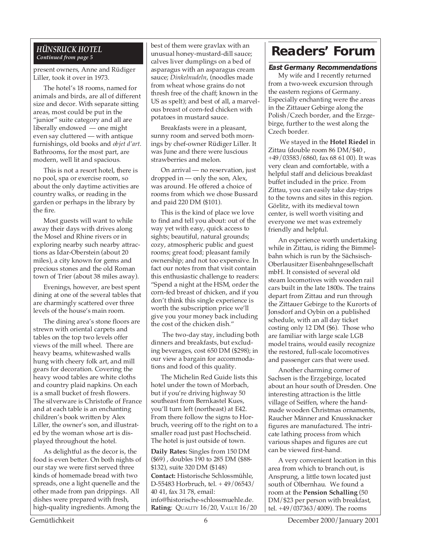#### *HÜNSRUCK HOTEL Continued from page 5*

present owners, Anne and Rüdiger Liller, took it over in 1973.

The hotel's 18 rooms, named for animals and birds, are all of different size and decor. With separate sitting areas, most could be put in the "junior" suite category and all are liberally endowed — one might even say cluttered — with antique furnishings, old books and *objet d'art.* Bathrooms, for the most part, are modern, well lit and spacious.

This is not a resort hotel, there is no pool, spa or exercise room, so about the only daytime activities are country walks, or reading in the garden or perhaps in the library by the fire.

Most guests will want to while away their days with drives along the Mosel and Rhine rivers or in exploring nearby such nearby attractions as Idar-Oberstein (about 20 miles), a city known for gems and precious stones and the old Roman town of Trier (about 38 miles away).

Evenings, however, are best spent dining at one of the several tables that are charmingly scattered over three levels of the house's main room.

The dining area's stone floors are strewn with oriental carpets and tables on the top two levels offer views of the mill wheel. There are heavy beams, whitewashed walls hung with cheery folk art, and mill gears for decoration. Covering the heavy wood tables are white cloths and country plaid napkins. On each is a small bucket of fresh flowers. The silverware is Christofle of France and at each table is an enchanting children's book written by Alex Liller, the owner's son, and illustrated by the woman whose art is displayed throughout the hotel.

As delightful as the decor is, the food is even better. On both nights of our stay we were first served three kinds of homemade bread with two spreads, one a light quenelle and the other made from pan drippings. All dishes were prepared with fresh, high-quality ingredients. Among the

best of them were gravlax with an unusual honey-mustard-dill sauce; calves liver dumplings on a bed of asparagus with an asparagus cream sauce; *Dinkelnudeln*, (noodles made from wheat whose grains do not thresh free of the chaff; known in the US as spelt); and best of all, a marvelous breast of corn-fed chicken with potatoes in mustard sauce.

Breakfasts were in a pleasant, sunny room and served both mornings by chef-owner Rüdiger Liller. It was June and there were luscious strawberries and melon.

On arrival — no reservation, just dropped in — only the son, Alex, was around. He offered a choice of rooms from which we chose Bussard and paid 220 DM (\$101).

This is the kind of place we love to find and tell you about: out of the way yet with easy, quick access to sights; beautiful, natural grounds; cozy, atmospheric public and guest rooms; great food; pleasant family ownership; and not too expensive. In fact our notes from that visit contain this enthusiastic challenge to readers: "Spend a night at the HSM, order the corn-fed breast of chicken, and if you don't think this single experience is worth the subscription price we'll give you your money back including the cost of the chicken dish."

 The two-day stay, including both dinners and breakfasts, but excluding beverages, cost 650 DM (\$298); in our view a bargain for accommodations and food of this quality.

The Michelin Red Guide lists this hotel under the town of Morbach, but if you're driving highway 50 southeast from Bernkastel Kues, you'll turn left (northeast) at E42. From there follow the signs to Horbruch, veering off to the right on to a smaller road just past Hochscheid. The hotel is just outside of town.

**Daily Rates:** Singles from 150 DM (\$69) , doubles 190 to 285 DM (\$88- \$132), suite 320 DM (\$148) **Contact:** Historische Schlossmühle, D-55483 Horbruch, tel. + 49/06543/ 40 41, fax 31 78, email: info@historische-schlossmuehle.de. **Rating**: QUALITY 16/20, VALUE 16/20

## **Readers' Forum**

#### **East Germany Recommendations**

My wife and I recently returned from a two-week excursion through the eastern regions of Germany. Especially enchanting were the areas in the Zittauer Gebirge along the Polish/Czech border, and the Erzgebirge, further to the west along the Czech border.

 We stayed in the **Hotel Riedel** in Zittau (double room 86 DM/\$40 , +49/03583/6860, fax 68 61 00). It was very clean and comfortable, with a helpful staff and delicious breakfast buffet included in the price. From Zittau, you can easily take day-trips to the towns and sites in this region. Görlitz, with its medieval town center, is well worth visiting and everyone we met was extremely friendly and helpful.

An experience worth undertaking while in Zittau, is riding the Bimmelbahn which is run by the Sächsisch-Oberlausitzer Eisenbahngesellschaft mbH. It consisted of several old steam locomotives with wooden rail cars built in the late 1800s. The trains depart from Zittau and run through the Zittauer Gebirge to the Kurorts of Jonsdorf and Oybin on a published schedule, with an all day ticket costing only 12 DM (\$6). Those who are familiar with large scale LGB model trains, would easily recognize the restored, full-scale locomotives and passenger cars that were used.

Another charming corner of Sachsen is the Erzgebirge, located about an hour south of Dresden. One interesting attraction is the little village of Seiffen, where the handmade wooden Christmas ornaments, Raucher Männer and Knussknacker figures are manufactured. The intricate lathing process from which various shapes and figures are cut can be viewed first-hand.

A very convenient location in this area from which to branch out, is Ansprung, a little town located just south of Olbernhau. We found a room at the **Pension Schalling** (50 DM/\$23 per person with breakfast, tel. +49/037363/4009). The rooms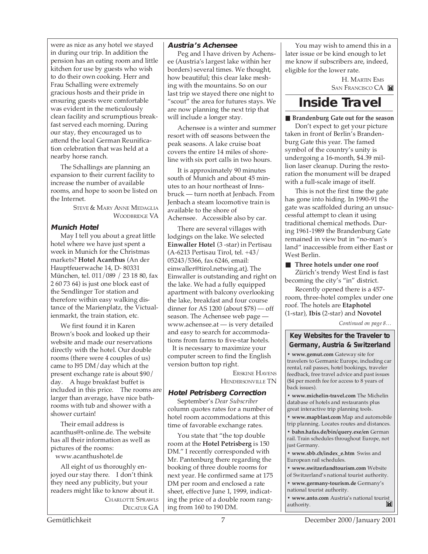were as nice as any hotel we stayed in during our trip. In addition the pension has an eating room and little kitchen for use by guests who wish to do their own cooking. Herr and Frau Schalling were extremely gracious hosts and their pride in ensuring guests were comfortable was evident in the meticulously clean facility and scrumptious breakfast served each morning. During our stay, they encouraged us to attend the local German Reunification celebration that was held at a nearby horse ranch.

The Schallings are planning an expansion to their current facility to increase the number of available rooms, and hope to soon be listed on the Internet.

> STEVE & MARY ANNE MEDAGLIA WOODBRIDGE VA

#### **Munich Hotel**

May I tell you about a great little hotel where we have just spent a week in Munich for the Christmas markets? **Hotel Acanthus** (An der Hauptfeuerwache 14, D- 80331 München, tel. 011/089 / 23 18 80, fax 2 60 73 64) is just one block east of the Sendlinger Tor station and therefore within easy walking distance of the Marienplatz, the Victualienmarkt, the train station, etc.

We first found it in Karen Brown's book and looked up their website and made our reservations directly with the hotel. Our double rooms (there were 4 couples of us) came to l95 DM/day which at the present exchange rate is about \$90/ day. A huge breakfast buffet is included in this price. The rooms are larger than average, have nice bathrooms with tub and shower with a shower curtain!

Their email address is acanthus@t-online.de. The website has all their information as well as pictures of the rooms: www.acanthushotel.de

All eight of us thoroughly enjoyed our stay there. I don't think

they need any publicity, but your readers might like to know about it. CHARLOTTE SPRAWLS

DECATUR GA

#### **Austria's Achensee**

Peg and I have driven by Achensee (Austria's largest lake within her borders) several times. We thought, how beautiful; this clear lake meshing with the mountains. So on our last trip we stayed there one night to "scout" the area for futures stays. We are now planning the next trip that will include a longer stay.

Achensee is a winter and summer resort with off seasons between the peak seasons. A lake cruise boat covers the entire 14 miles of shoreline with six port calls in two hours.

It is approximately 90 minutes south of Munich and about 45 minutes to an hour northeast of Innsbruck — turn north at Jenbach. From Jenbach a steam locomotive train is available to the shore of Achensee. Accessible also by car.

There are several villages with lodgings on the lake. We selected **Einwaller Hotel** (3 -star) in Pertisau (A-6213 Pertisau Tirol, tel. +43/ 05243/5366, fax 6246, email: einwaller@tirol.netwing.at). The Einwaller is outstanding and right on the lake. We had a fully equipped apartment with balcony overlooking the lake, breakfast and four course dinner for AS 1200 (about \$78) — off season. The Achensee web page www.achensee.at — is very detailed and easy to search for accommodations from farms to five-star hotels.

It is necessary to maximize your computer screen to find the English version button top right.

> ERSKINE HAVENS HENDERSONVILLE TN

#### **Hotel Petrisberg Correction**

September's *Dear Subscriber* column quotes rates for a number of hotel room accommodations at this time of favorable exchange rates.

You state that "the top double room at the **Hotel Petrisberg** is 150 DM." I recently corresponded with Mr. Pantenburg there regarding the booking of three double rooms for next year. He confirmed same at 175 DM per room and enclosed a rate sheet, effective June 1, 1999, indicating the price of a double room ranging from 160 to 190 DM.

You may wish to amend this in a later issue or be kind enough to let me know if subscribers are, indeed, eligible for the lower rate.

> H. MARTIN EMS SAN FRANCISCO CA

## **Inside Travel**

■ **Brandenburg Gate out for the season** Don't expect to get your picture taken in front of Berlin's Brandenburg Gate this year. The famed symbol of the country's unity is undergoing a 16-month, \$4.39 million laser cleanup. During the restoration the monument will be draped

with a full-scale image of itself. This is not the first time the gate has gone into hiding. In 1990-91 the gate was scaffolded during an unsuccessful attempt to clean it using traditional chemical methods. During 1961-1989 the Brandenburg Gate remained in view but in "no-man's land" inaccessible from either East or West Berlin.

■ Three hotels under one roof Zürich's trendy West End is fast becoming the city's "in" district.

Recently opened there is a 457 room, three-hotel complex under one roof. The hotels are **Etaphotel** (1-star), **Ibis** (2-star) and **Novotel**

*Continued on page 8…*

#### **Key Websites for the Traveler to Germany, Austria & Switzerland**

**• www.gemut.com** Gateway site for travelers to Germanic Europe, including car rental, rail passes, hotel bookings, traveler feedback, free travel advice and past issues (\$4 per month fee for access to 8 years of back issues).

**• www.michelin-travel.com** The Michelin database of hotels and restaurants plus great interactive trip planning tools.

**• www.mapblast.com** Map and automobile trip planning. Locates routes and distances.

**• bahn.hafas.de/bin/query.exe/en** German rail. Train schedules throughout Europe, not just Germany.

**• www.sbb.ch/index\_e.htm** Swiss and European rail schedules.

**• www.switzerlandtourism.com** Website

of Switzerland's national tourist authority.

**• www.germany-tourism.de** Germany's national tourist authority.

**• www.anto.com** Austria's national tourist authority. authority.

Gemütlichkeit 7 December 2000/January 2001